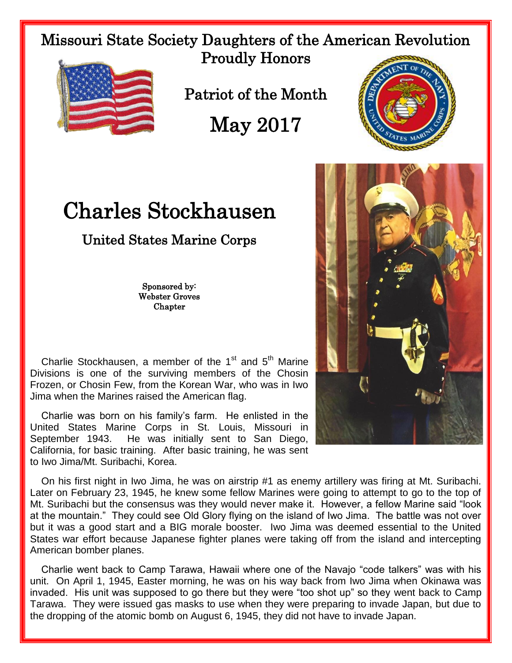Missouri State Society Daughters of the American Revolution Proudly Honors



Patriot of the Month

May 2017

## Charles Stockhausen

## United States Marine Corps

Sponsored by: Webster Groves **Chapter** 

Charlie Stockhausen, a member of the  $1<sup>st</sup>$  and  $5<sup>th</sup>$  Marine Divisions is one of the surviving members of the Chosin Frozen, or Chosin Few, from the Korean War, who was in Iwo Jima when the Marines raised the American flag.

 Charlie was born on his family's farm. He enlisted in the United States Marine Corps in St. Louis, Missouri in September 1943. He was initially sent to San Diego, California, for basic training. After basic training, he was sent to Iwo Jima/Mt. Suribachi, Korea.

 On his first night in Iwo Jima, he was on airstrip #1 as enemy artillery was firing at Mt. Suribachi. Later on February 23, 1945, he knew some fellow Marines were going to attempt to go to the top of Mt. Suribachi but the consensus was they would never make it. However, a fellow Marine said "look at the mountain." They could see Old Glory flying on the island of Iwo Jima. The battle was not over but it was a good start and a BIG morale booster. Iwo Jima was deemed essential to the United States war effort because Japanese fighter planes were taking off from the island and intercepting American bomber planes.

 Charlie went back to Camp Tarawa, Hawaii where one of the Navajo "code talkers" was with his unit. On April 1, 1945, Easter morning, he was on his way back from Iwo Jima when Okinawa was invaded. His unit was supposed to go there but they were "too shot up" so they went back to Camp Tarawa. They were issued gas masks to use when they were preparing to invade Japan, but due to the dropping of the atomic bomb on August 6, 1945, they did not have to invade Japan.